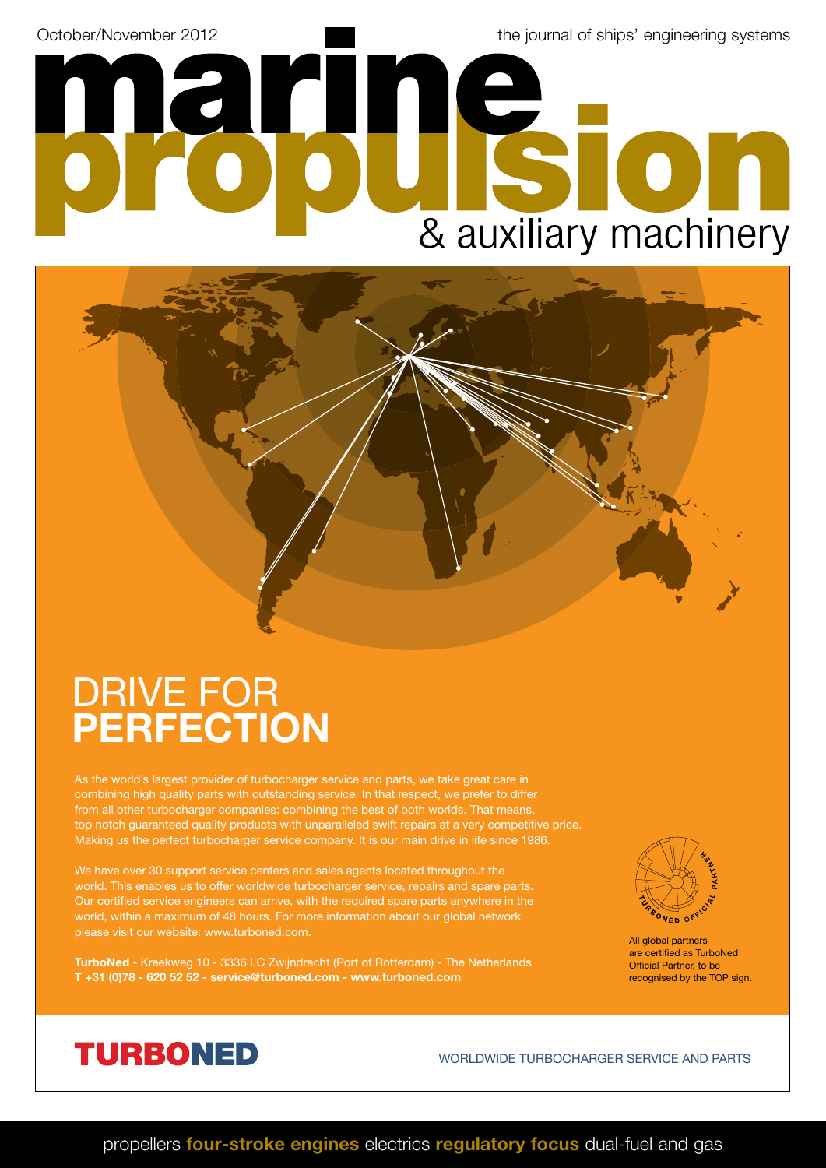October/November 2012 and the journal of ships' engineering systems

& auxiliary machinery

## DRIVE FOR **PERFECTION**

As the world's largest provider of turbocharger service and parts, we take great care in combining high quality parts with outstanding service. In that respect, we prefer to differ from all other turbocharger companies: combining the best of both worlds. That means, top notch guaranteed quality products with unparalleled swift repairs at a very competitive price. Making us the perfect turbocharger service company. It is our main drive in life since 1986.

We have over 30 support service centers and sales agents located throughout the world. This enables us to offer worldwide turbocharger service, repairs and spare parts. Our certified service engineers can arrive, with the required spare parts anywhere in the world, within a maximum of 48 hours. For more information about our global network

arın

**TurboNed** - Kreekweg 10 - 3336 LC Zwijndrecht (Port of Rotterdam) - The Netherlands **T +31 (0)78 - 620 52 52 - service@turboned.com - www.turboned.com**



All global partners are certified as TurboNed Official Partner, to be recognised by the TOP sign.



WORLDWIDE TURBOCHARGER SERVICE AND PARTS